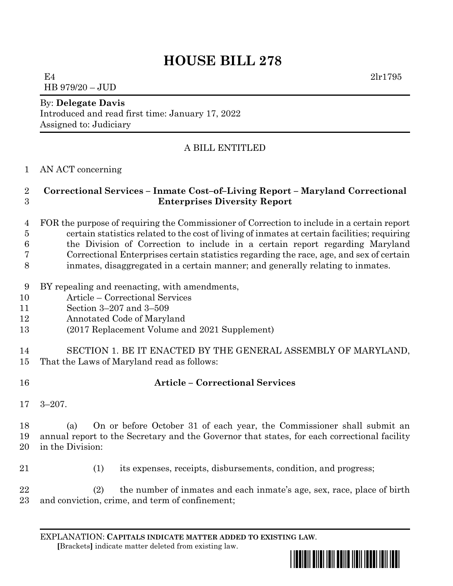# **HOUSE BILL 278**

E4  $2 \ln 1795$ HB 979/20 – JUD

#### By: **Delegate Davis**

Introduced and read first time: January 17, 2022 Assigned to: Judiciary

# A BILL ENTITLED

#### AN ACT concerning

### **Correctional Services – Inmate Cost–of–Living Report – Maryland Correctional Enterprises Diversity Report**

- FOR the purpose of requiring the Commissioner of Correction to include in a certain report certain statistics related to the cost of living of inmates at certain facilities; requiring the Division of Correction to include in a certain report regarding Maryland Correctional Enterprises certain statistics regarding the race, age, and sex of certain
- inmates, disaggregated in a certain manner; and generally relating to inmates.
- BY repealing and reenacting, with amendments,
- Article Correctional Services
- Section 3–207 and 3–509
- Annotated Code of Maryland
- (2017 Replacement Volume and 2021 Supplement)
- SECTION 1. BE IT ENACTED BY THE GENERAL ASSEMBLY OF MARYLAND, That the Laws of Maryland read as follows:
- 

# **Article – Correctional Services**

3–207.

 (a) On or before October 31 of each year, the Commissioner shall submit an annual report to the Secretary and the Governor that states, for each correctional facility in the Division:

(1) its expenses, receipts, disbursements, condition, and progress;

 (2) the number of inmates and each inmate's age, sex, race, place of birth and conviction, crime, and term of confinement;

EXPLANATION: **CAPITALS INDICATE MATTER ADDED TO EXISTING LAW**.  **[**Brackets**]** indicate matter deleted from existing law.

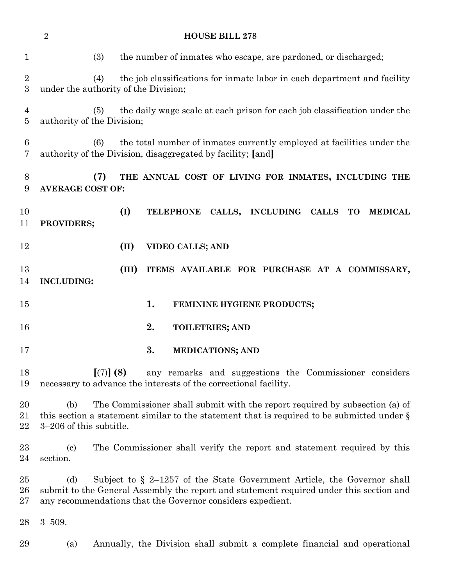|                                      | $\sqrt{2}$<br><b>HOUSE BILL 278</b>                                                                                                                                                                                                        |
|--------------------------------------|--------------------------------------------------------------------------------------------------------------------------------------------------------------------------------------------------------------------------------------------|
| $\mathbf{1}$                         | the number of inmates who escape, are pardoned, or discharged;<br>(3)                                                                                                                                                                      |
| $\boldsymbol{2}$<br>$\boldsymbol{3}$ | the job classifications for inmate labor in each department and facility<br>(4)<br>under the authority of the Division;                                                                                                                    |
| $\overline{4}$<br>5                  | the daily wage scale at each prison for each job classification under the<br>(5)<br>authority of the Division;                                                                                                                             |
| 6<br>7                               | the total number of inmates currently employed at facilities under the<br>(6)<br>authority of the Division, disaggregated by facility; [and]                                                                                               |
| 8<br>9                               | (7)<br>THE ANNUAL COST OF LIVING FOR INMATES, INCLUDING THE<br><b>AVERAGE COST OF:</b>                                                                                                                                                     |
| 10<br>11                             | (I)<br>TELEPHONE CALLS, INCLUDING CALLS TO MEDICAL<br>PROVIDERS;                                                                                                                                                                           |
| 12                                   | (II)<br><b>VIDEO CALLS; AND</b>                                                                                                                                                                                                            |
| 13<br>14                             | (III)<br>ITEMS AVAILABLE FOR PURCHASE AT A COMMISSARY,<br><b>INCLUDING:</b>                                                                                                                                                                |
| $15\,$                               | 1.<br>FEMININE HYGIENE PRODUCTS;                                                                                                                                                                                                           |
| 16                                   | 2.<br><b>TOILETRIES; AND</b>                                                                                                                                                                                                               |
| 17                                   | 3.<br><b>MEDICATIONS; AND</b>                                                                                                                                                                                                              |
| 18<br>19                             | [(7)] (8)<br>any remarks and suggestions the Commissioner considers<br>necessary to advance the interests of the correctional facility.                                                                                                    |
| 20<br>21<br>22                       | The Commissioner shall submit with the report required by subsection (a) of<br>(b)<br>this section a statement similar to the statement that is required to be submitted under $\S$<br>3–206 of this subtitle.                             |
| $23\,$<br>24                         | The Commissioner shall verify the report and statement required by this<br>$\left( \mathrm{c}\right)$<br>section.                                                                                                                          |
| $25\,$<br>26<br>$27\,$               | (d)<br>Subject to $\S$ 2–1257 of the State Government Article, the Governor shall<br>submit to the General Assembly the report and statement required under this section and<br>any recommendations that the Governor considers expedient. |
| 28                                   | $3 - 509.$                                                                                                                                                                                                                                 |
| 29                                   | (a)<br>Annually, the Division shall submit a complete financial and operational                                                                                                                                                            |